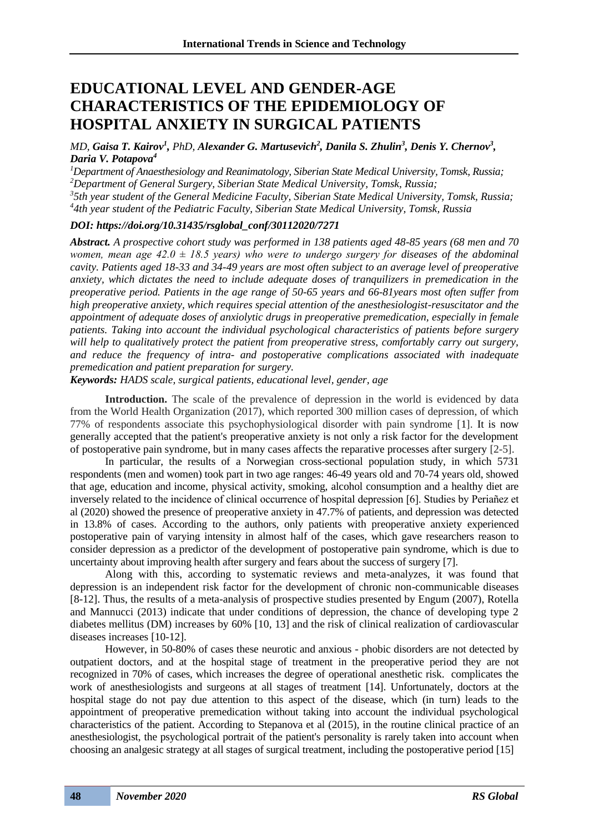## **EDUCATIONAL LEVEL AND GENDER-AGE CHARACTERISTICS OF THE EPIDEMIOLOGY OF HOSPITAL ANXIETY IN SURGICAL PATIENTS**

*MD, Gaisa T. Kairov<sup>1</sup>, PhD, Alexander G. Martusevich<sup>2</sup>, Danila S. Zhulin<sup>3</sup>, Denis Y. Chernov<sup>3</sup>, Daria V. Potapova<sup>4</sup>*

*Department of Anaesthesiology and Reanimatology, Siberian State Medical University, Tomsk, Russia; Department of General Surgery, Siberian State Medical University, Tomsk, Russia; 5th year student of the General Medicine Faculty, Siberian State Medical University, Tomsk, Russia; 4th year student of the Pediatric Faculty, Siberian State Medical University, Tomsk, Russia*

## *DOI: https://doi.org/10.31435/rsglobal\_conf/30112020/7271*

*Abstract. A prospective cohort study was performed in 138 patients aged 48-85 years (68 men and 70 women, mean age 42.0 ± 18.5 years) who were to undergo surgery for diseases of the abdominal cavity. Patients aged 18-33 and 34-49 years are most often subject to an average level of preoperative anxiety, which dictates the need to include adequate doses of tranquilizers in premedication in the preoperative period. Patients in the age range of 50-65 years and 66-81years most often suffer from high preoperative anxiety, which requires special attention of the anesthesiologist-resuscitator and the appointment of adequate doses of anxiolytic drugs in preoperative premedication, especially in female patients. Taking into account the individual psychological characteristics of patients before surgery will help to qualitatively protect the patient from preoperative stress, comfortably carry out surgery, and reduce the frequency of intra- and postoperative complications associated with inadequate premedication and patient preparation for surgery.*

*Keywords: HADS scale, surgical patients, educational level, gender, age*

**Introduction.** The scale of the prevalence of depression in the world is evidenced by data from the World Health Organization (2017), which reported 300 million cases of depression, of which 77% of respondents associate this psychophysiological disorder with pain syndrome [1]. It is now generally accepted that the patient's preoperative anxiety is not only a risk factor for the development of postoperative pain syndrome, but in many cases affects the reparative processes after surgery [2-5].

In particular, the results of a Norwegian cross-sectional population study, in which 5731 respondents (men and women) took part in two age ranges: 46-49 years old and 70-74 years old, showed that age, education and income, physical activity, smoking, alcohol consumption and a healthy diet are inversely related to the incidence of clinical occurrence of hospital depression [6]. Studies by Periañez et al (2020) showed the presence of preoperative anxiety in 47.7% of patients, and depression was detected in 13.8% of cases. According to the authors, only patients with preoperative anxiety experienced postoperative pain of varying intensity in almost half of the cases, which gave researchers reason to consider depression as a predictor of the development of postoperative pain syndrome, which is due to uncertainty about improving health after surgery and fears about the success of surgery [7].

Along with this, according to systematic reviews and meta-analyzes, it was found that depression is an independent risk factor for the development of chronic non-communicable diseases [8-12]. Thus, the results of a meta-analysis of prospective studies presented by Engum (2007), Rotella and Mannucci (2013) indicate that under conditions of depression, the chance of developing type 2 diabetes mellitus (DM) increases by 60% [10, 13] and the risk of clinical realization of cardiovascular diseases increases [10-12].

However, in 50-80% of cases these neurotic and anxious - phobic disorders are not detected by outpatient doctors, and at the hospital stage of treatment in the preoperative period they are not recognized in 70% of cases, which increases the degree of operational anesthetic risk. complicates the work of anesthesiologists and surgeons at all stages of treatment [14]. Unfortunately, doctors at the hospital stage do not pay due attention to this aspect of the disease, which (in turn) leads to the appointment of preoperative premedication without taking into account the individual psychological characteristics of the patient. According to Stepanova et al (2015), in the routine clinical practice of an anesthesiologist, the psychological portrait of the patient's personality is rarely taken into account when choosing an analgesic strategy at all stages of surgical treatment, including the postoperative period [15]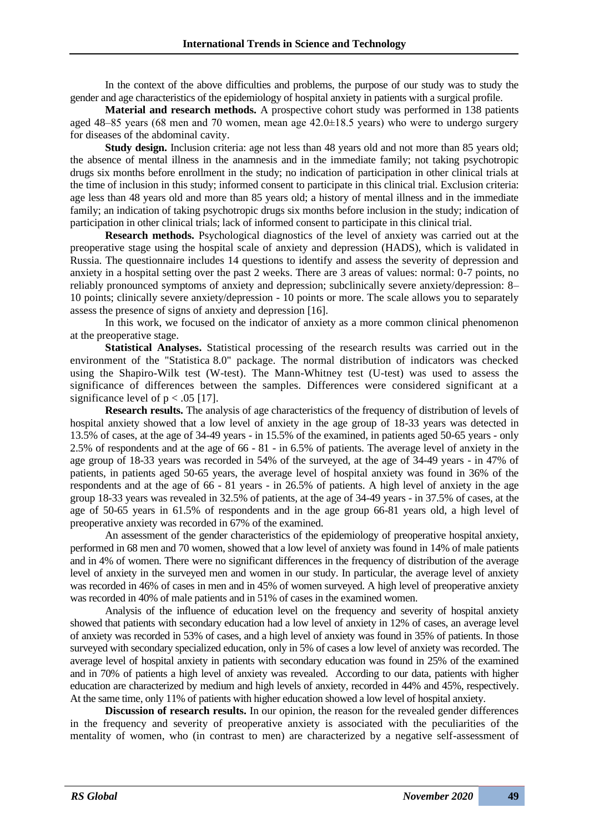In the context of the above difficulties and problems, the purpose of our study was to study the gender and age characteristics of the epidemiology of hospital anxiety in patients with a surgical profile.

**Material and research methods.** A prospective cohort study was performed in 138 patients aged 48–85 years (68 men and 70 women, mean age 42.0±18.5 years) who were to undergo surgery for diseases of the abdominal cavity.

**Study design.** Inclusion criteria: age not less than 48 years old and not more than 85 years old; the absence of mental illness in the anamnesis and in the immediate family; not taking psychotropic drugs six months before enrollment in the study; no indication of participation in other clinical trials at the time of inclusion in this study; informed consent to participate in this clinical trial. Exclusion criteria: age less than 48 years old and more than 85 years old; a history of mental illness and in the immediate family; an indication of taking psychotropic drugs six months before inclusion in the study; indication of participation in other clinical trials; lack of informed consent to participate in this clinical trial.

**Research methods.** Psychological diagnostics of the level of anxiety was carried out at the preoperative stage using the hospital scale of anxiety and depression (HADS), which is validated in Russia. The questionnaire includes 14 questions to identify and assess the severity of depression and anxiety in a hospital setting over the past 2 weeks. There are 3 areas of values: normal: 0-7 points, no reliably pronounced symptoms of anxiety and depression; subclinically severe anxiety/depression: 8– 10 points; clinically severe anxiety/depression - 10 points or more. The scale allows you to separately assess the presence of signs of anxiety and depression [16].

In this work, we focused on the indicator of anxiety as a more common clinical phenomenon at the preoperative stage.

**Statistical Analyses.** Statistical processing of the research results was carried out in the environment of the "Statistica 8.0" package. The normal distribution of indicators was checked using the Shapiro-Wilk test (W-test). The Mann-Whitney test (U-test) was used to assess the significance of differences between the samples. Differences were considered significant at a significance level of  $p < .05$  [17].

**Research results.** The analysis of age characteristics of the frequency of distribution of levels of hospital anxiety showed that a low level of anxiety in the age group of 18-33 years was detected in 13.5% of cases, at the age of 34-49 years - in 15.5% of the examined, in patients aged 50-65 years - only 2.5% of respondents and at the age of 66 - 81 - in 6.5% of patients. The average level of anxiety in the age group of 18-33 years was recorded in 54% of the surveyed, at the age of 34-49 years - in 47% of patients, in patients aged 50-65 years, the average level of hospital anxiety was found in 36% of the respondents and at the age of 66 - 81 years - in 26.5% of patients. A high level of anxiety in the age group 18-33 years was revealed in 32.5% of patients, at the age of 34-49 years - in 37.5% of cases, at the age of 50-65 years in 61.5% of respondents and in the age group 66-81 years old, a high level of preoperative anxiety was recorded in 67% of the examined.

An assessment of the gender characteristics of the epidemiology of preoperative hospital anxiety, performed in 68 men and 70 women, showed that a low level of anxiety was found in 14% of male patients and in 4% of women. There were no significant differences in the frequency of distribution of the average level of anxiety in the surveyed men and women in our study. In particular, the average level of anxiety was recorded in 46% of cases in men and in 45% of women surveyed. A high level of preoperative anxiety was recorded in 40% of male patients and in 51% of cases in the examined women.

Analysis of the influence of education level on the frequency and severity of hospital anxiety showed that patients with secondary education had a low level of anxiety in 12% of cases, an average level of anxiety was recorded in 53% of cases, and a high level of anxiety was found in 35% of patients. In those surveyed with secondary specialized education, only in 5% of cases a low level of anxiety was recorded. The average level of hospital anxiety in patients with secondary education was found in 25% of the examined and in 70% of patients a high level of anxiety was revealed. According to our data, patients with higher education are characterized by medium and high levels of anxiety, recorded in 44% and 45%, respectively. At the same time, only 11% of patients with higher education showed a low level of hospital anxiety.

**Discussion of research results.** In our opinion, the reason for the revealed gender differences in the frequency and severity of preoperative anxiety is associated with the peculiarities of the mentality of women, who (in contrast to men) are characterized by a negative self-assessment of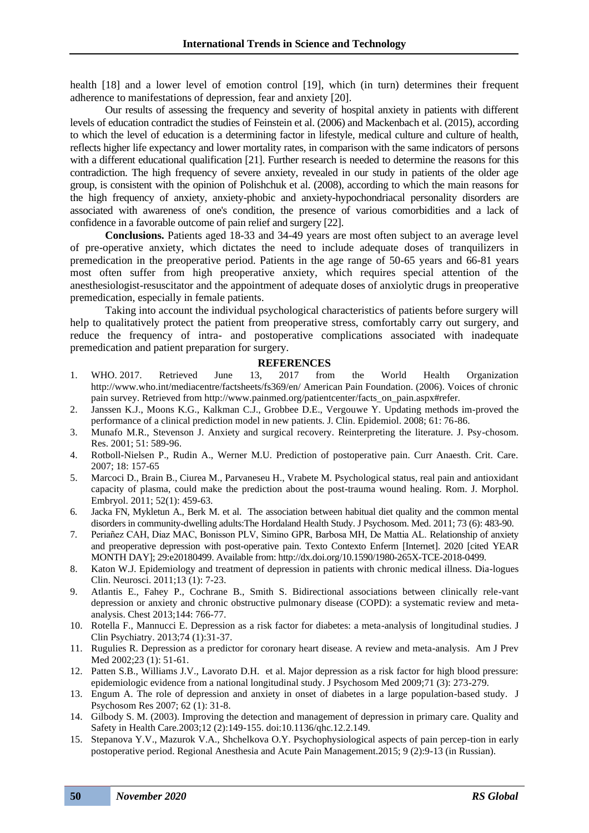health [18] and a lower level of emotion control [19], which (in turn) determines their frequent adherence to manifestations of depression, fear and anxiety [20].

Our results of assessing the frequency and severity of hospital anxiety in patients with different levels of education contradict the studies of Feinstein et al. (2006) and Mackenbach et al. (2015), according to which the level of education is a determining factor in lifestyle, medical culture and culture of health, reflects higher life expectancy and lower mortality rates, in comparison with the same indicators of persons with a different educational qualification [21]. Further research is needed to determine the reasons for this contradiction. The high frequency of severe anxiety, revealed in our study in patients of the older age group, is consistent with the opinion of Polishchuk et al. (2008), according to which the main reasons for the high frequency of anxiety, anxiety-phobic and anxiety-hypochondriacal personality disorders are associated with awareness of one's condition, the presence of various comorbidities and a lack of confidence in a favorable outcome of pain relief and surgery [22].

**Conclusions.** Patients aged 18-33 and 34-49 years are most often subject to an average level of pre-operative anxiety, which dictates the need to include adequate doses of tranquilizers in premedication in the preoperative period. Patients in the age range of 50-65 years and 66-81 years most often suffer from high preoperative anxiety, which requires special attention of the anesthesiologist-resuscitator and the appointment of adequate doses of anxiolytic drugs in preoperative premedication, especially in female patients.

Taking into account the individual psychological characteristics of patients before surgery will help to qualitatively protect the patient from preoperative stress, comfortably carry out surgery, and reduce the frequency of intra- and postoperative complications associated with inadequate premedication and patient preparation for surgery.

## **REFERENCES**

- 1. WHO. 2017. Retrieved June 13, 2017 from the World Health Organization http://www.who.int/mediacentre/factsheets/fs369/en/ American Pain Foundation. (2006). Voices of chronic pain survey. Retrieved from http://www.painmed.org/patientcenter/facts\_on\_pain.aspx#refer.
- 2. Janssen K.J., Moons K.G., Kalkman C.J., Grobbee D.E., Vergouwe Y. Updating methods im-proved the performance of a clinical prediction model in new patients. J. Clin. Epidemiol. 2008; 61: 76-86.
- 3. Munafo M.R., Stevenson J. Anxiety and surgical recovery. Reinterpreting the literature. J. Psy-chosom. Res. 2001; 51: 589-96.
- 4. Rotboll-Nielsen P., Rudin A., Werner M.U. Prediction of postoperative pain. Curr Anaesth. Crit. Care. 2007; 18: 157-65
- 5. Marcoci D., Brain B., Ciurea M., Parvaneseu H., Vrabete M. Psychological status, real pain and antioxidant capacity of plasma, could make the prediction about the post-trauma wound healing. Rom. J. Morphol. Embryol. 2011; 52(1): 459-63.
- 6. Jacka FN, Mykletun A., Berk M. et al. The association between habitual diet quality and the common mental disorders in community-dwelling adults:The Hordaland Health Study. J Psychosom. Med. 2011; 73 (6): 483-90.
- 7. Periañez CAH, Diaz MAC, Bonisson PLV, Simino GPR, Barbosa MH, De Mattia AL. Relationship of anxiety and preoperative depression with post-operative pain. Texto Contexto Enferm [Internet]. 2020 [cited YEAR MONTH DAY]; 29:e20180499. Available from: http://dx.doi.org/10.1590/1980-265X-TCE-2018-0499.
- 8. Katon W.J. Epidemiology and treatment of depression in patients with chronic medical illness. Dia-logues Clin. Neurosci. 2011;13 (1): 7-23.
- 9. Atlantis E., Fahey P., Cochrane B., Smith S. Bidirectional associations between clinically rele-vant depression or anxiety and chronic obstructive pulmonary disease (COPD): a systematic review and metaanalysis. Chest 2013;144: 766-77.
- 10. Rotella F., Mannucci E. Depression as a risk factor for diabetes: a meta-analysis of longitudinal studies. J Clin Psychiatry. 2013;74 (1):31-37.
- 11. Rugulies R. Depression as a predictor for coronary heart disease. A review and meta-analysis. Am J Prev Med 2002;23 (1): 51-61.
- 12. Patten S.B., Williams J.V., Lavorato D.H. et al. Major depression as a risk factor for high blood pressure: epidemiologic evidence from a national longitudinal study. J Psychosom Med 2009;71 (3): 273-279.
- 13. Engum A. The role of depression and anxiety in onset of diabetes in a large population-based study. J Psychosom Res 2007; 62 (1): 31-8.
- 14. Gilbody S. M. (2003). Improving the detection and management of depression in primary care. Quality and Safety in Health Care.2003;12 (2):149-155. doi:10.1136/qhc.12.2.149.
- 15. Stepanova Y.V., Mazurok V.A., Shchelkova O.Y. Psychophysiological aspects of pain percep-tion in early postoperative period. Regional Anesthesia and Acute Pain Management.2015; 9 (2):9-13 (in Russian).